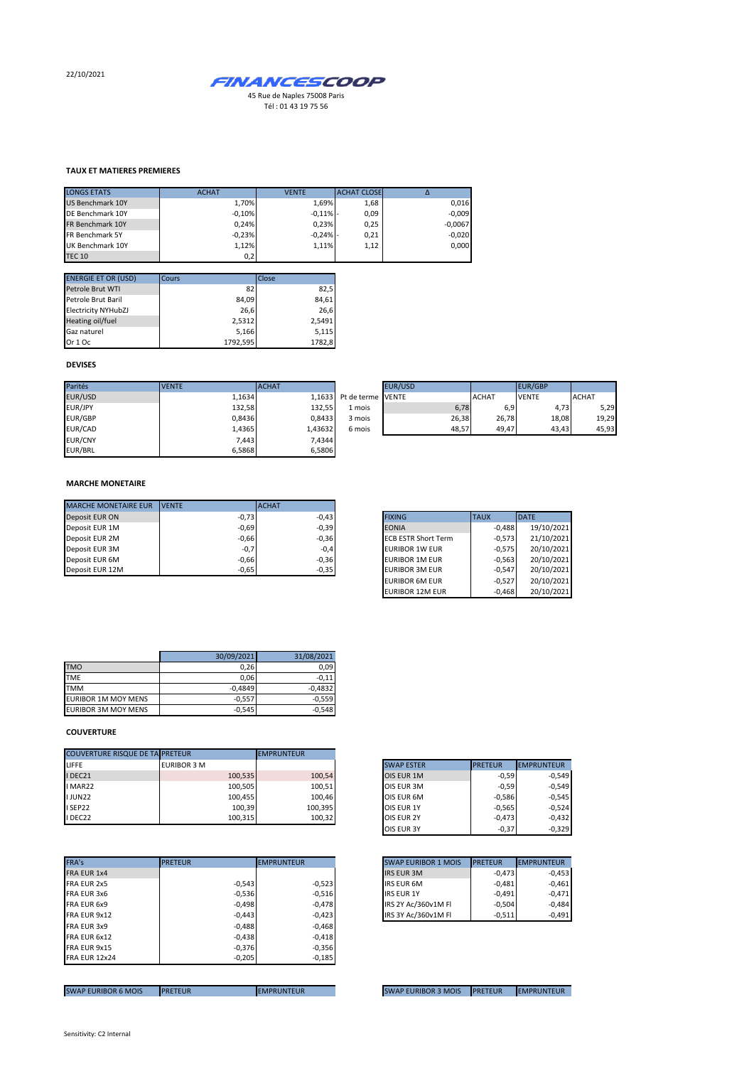22/10/2021



## **TAUX ET MATIERES PREMIERES**

| <b>LONGS ETATS</b>      | <b>ACHAT</b> | <b>VENTE</b> | <b>ACHAT CLOSE</b> |           |
|-------------------------|--------------|--------------|--------------------|-----------|
| <b>US Benchmark 10Y</b> | 1.70%        | 1.69%        | 1,68               | 0,016     |
| DE Benchmark 10Y        | $-0.10%$     | $-0,11%$ -   | 0,09               | $-0,009$  |
| FR Benchmark 10Y        | 0.24%        | 0.23%        | 0,25               | $-0,0067$ |
| FR Benchmark 5Y         | $-0,23%$     | $-0,24%$ -   | 0,21               | $-0,020$  |
| UK Benchmark 10Y        | 1,12%        | 1,11%        | 1,12               | 0.000     |
| <b>TEC 10</b>           | 0,2          |              |                    |           |

| <b>ENERGIE ET OR (USD)</b> | Cours    | Close  |
|----------------------------|----------|--------|
| Petrole Brut WTI           | 82       | 82,5   |
| Petrole Brut Baril         | 84,09    | 84,61  |
| <b>Electricity NYHubZJ</b> | 26,6     | 26.6   |
| Heating oil/fuel           | 2,5312   | 2,5491 |
| Gaz naturel                | 5,166    | 5,115  |
| Or 1 Oc                    | 1792.595 | 1782,8 |

## **DEVISES**

| Parités        | <b>VENTE</b> | <b>ACHAT</b> |                          | <b>EUR/USD</b> |              | EUR/GBP      |              |
|----------------|--------------|--------------|--------------------------|----------------|--------------|--------------|--------------|
| EUR/USD        | 1.1634       |              | 1.1633 Pt de terme VENTE |                | <b>ACHAT</b> | <b>VENTE</b> | <b>ACHAT</b> |
| EUR/JPY        | 132,58       | 132,55       | 1 mois                   | 6,78           | 6,9          | 4,73         | 5,29         |
| EUR/GBP        | 0.8436       | 0.8433       | 3 mois                   | 26,38          | 26,78        | 18,08        | 19,29        |
| EUR/CAD        | 1,4365       | 1.43632      | 6 mois                   | 48.57          | 49.47        | 43.43        | 45,93        |
| <b>EUR/CNY</b> | 7,443        | 7,4344       |                          |                |              |              |              |
| EUR/BRL        | 6,5868       | 6,5806       |                          |                |              |              |              |

|    | <b>EUR/USD</b> |              | <b>EUR/GBP</b> |              |
|----|----------------|--------------|----------------|--------------|
|    | rme VENTE      | <b>ACHAT</b> | <b>VENTE</b>   | <b>ACHAT</b> |
| is | 6,78           | 6.9          | 4,73           | 5,29         |
| is | 26,38          | 26,78        | 18,08          | 19,29        |
| is | 48,57          | 49,47        | 43,43          | 45,93        |

#### **MARCHE MONETAIRE**

| <b>MARCHE MONETAIRE EUR</b> | <b>IVENTE</b> | <b>ACHAT</b> |                            |             |              |
|-----------------------------|---------------|--------------|----------------------------|-------------|--------------|
| Deposit EUR ON              | $-0,73$       | $-0.43$      | <b>FIXING</b>              | <b>TAUX</b> | <b>IDATE</b> |
| Deposit EUR 1M              | $-0.69$       | $-0,39$      | <b>EONIA</b>               | $-0.488$    | 19/10/2021   |
| Deposit EUR 2M              | $-0,66$       | $-0,36$      | <b>ECB ESTR Short Term</b> | $-0.573$    | 21/10/2021   |
| Deposit EUR 3M              | $-0,7$        | $-0,4$       | <b>EURIBOR 1W EUR</b>      | $-0.575$    | 20/10/2021   |
| Deposit EUR 6M              | $-0,66$       | $-0,36$      | <b>EURIBOR 1M EUR</b>      | $-0.563$    | 20/10/2021   |
| Deposit EUR 12M             | $-0,65$       | $-0,35$      | <b>EURIBOR 3M EUR</b>      | $-0.547$    | 20/10/2021   |

| <b>FIXING</b>              | <b>TAUX</b> | <b>DATE</b> |
|----------------------------|-------------|-------------|
| <b>EONIA</b>               | $-0.488$    | 19/10/2021  |
| <b>ECB ESTR Short Term</b> | $-0.573$    | 21/10/2021  |
| <b>EURIBOR 1W EUR</b>      | $-0.575$    | 20/10/2021  |
| <b>EURIBOR 1M EUR</b>      | $-0,563$    | 20/10/2021  |
| <b>EURIBOR 3M EUR</b>      | $-0.547$    | 20/10/2021  |
| <b>EURIBOR 6M EUR</b>      | $-0.527$    | 20/10/2021  |
| <b>EURIBOR 12M EUR</b>     | $-0,468$    | 20/10/2021  |

|                            | 30/09/2021 | 31/08/2021 |
|----------------------------|------------|------------|
| <b>TMO</b>                 | 0,26       | 0.09       |
| <b>TME</b>                 | 0,06       | $-0.11$    |
| <b>TMM</b>                 | $-0,4849$  | $-0.4832$  |
| <b>EURIBOR 1M MOY MENS</b> | $-0.557$   | $-0.559$   |
| <b>EURIBOR 3M MOY MENS</b> | $-0,545$   | $-0,548$   |

### **COUVERTURE**

| <b>COUVERTURE RISQUE DE TA PRETEUR</b> |                    | <b>EMPRUNTEUR</b> |                   |                              |
|----------------------------------------|--------------------|-------------------|-------------------|------------------------------|
| LIFFE                                  | <b>EURIBOR 3 M</b> |                   | <b>SWAP ESTER</b> | <b>PRETEUR</b><br>EMPRUNTEUR |
| I DEC21                                | 100,535            | 100,54            | OIS EUR 1M        | $-0.59$                      |
| I MAR22                                | 100,505            | 100,51            | OIS EUR 3M        | $-0.59$                      |
| <b>IJUN22</b>                          | 100,455            | 100,46            | OIS EUR 6M        | $-0.586$                     |
| I SEP22                                | 100.39             | 100,395           | OIS EUR 1Y        | $-0.565$                     |
| I DEC22                                | 100,315            | 100,32            | <b>OIS EUR 2Y</b> | $-0.473$                     |

| FRA's                | <b>PRETEUR</b> | <b>EMPRUNTEUR</b> | <b>SWAP EURIBOR 1 MOIS</b> | <b>PRETEUR</b><br><b>IEMPRUNTEUR</b> |
|----------------------|----------------|-------------------|----------------------------|--------------------------------------|
| FRA EUR 1x4          |                |                   | <b>IRS EUR 3M</b>          | $-0.473$                             |
| FRA EUR 2x5          | $-0,543$       | $-0,523$          | <b>IRS EUR 6M</b>          | $-0,481$                             |
| FRA EUR 3x6          | $-0,536$       | $-0,516$          | <b>IRS EUR 1Y</b>          | $-0,491$                             |
| FRA EUR 6x9          | $-0,498$       | $-0,478$          | IRS 2Y Ac/360v1M FI        | $-0.504$                             |
| FRA EUR 9x12         | $-0,443$       | $-0,423$          | IRS 3Y Ac/360v1M FI        | $-0,511$                             |
| FRA EUR 3x9          | $-0,488$       | $-0,468$          |                            |                                      |
| FRA EUR 6x12         | $-0,438$       | $-0,418$          |                            |                                      |
| FRA EUR 9x15         | $-0.376$       | $-0,356$          |                            |                                      |
| <b>FRA EUR 12x24</b> | $-0,205$       | $-0,185$          |                            |                                      |
|                      |                |                   |                            |                                      |

| <b>SWAP ESTER</b> | <b>PRETEUR</b> | <b>EMPRUNTEUR</b> |
|-------------------|----------------|-------------------|
| <b>OIS EUR 1M</b> | $-0.59$        | $-0,549$          |
| OIS EUR 3M        | $-0,59$        | $-0,549$          |
| OIS EUR 6M        | $-0,586$       | $-0,545$          |
| OIS EUR 1Y        | $-0,565$       | $-0.524$          |
| OIS EUR 2Y        | $-0,473$       | $-0,432$          |
| OIS EUR 3Y        | $-0,37$        | $-0,329$          |

| <b>SWAP EURIBOR 1 MOIS</b> | <b>PRETEUR</b> | <b>EMPRUNTEUR</b> |
|----------------------------|----------------|-------------------|
| <b>IRS EUR 3M</b>          | $-0.473$       | $-0,453$          |
| <b>IRS EUR 6M</b>          | $-0.481$       | $-0,461$          |
| <b>IRS EUR 1Y</b>          | $-0.491$       | $-0.471$          |
| IRS 2Y Ac/360v1M Fl        | $-0.504$       | $-0.484$          |
| IRS 3Y Ac/360v1M Fl        | $-0.511$       | $-0.491$          |

SWAP EURIBOR 6 MOIS PRETEUR EMPRUNTEUR EMPRUNTEUR SWAP EURIBOR 3 MOIS PRETEUR EMPRUNTEUR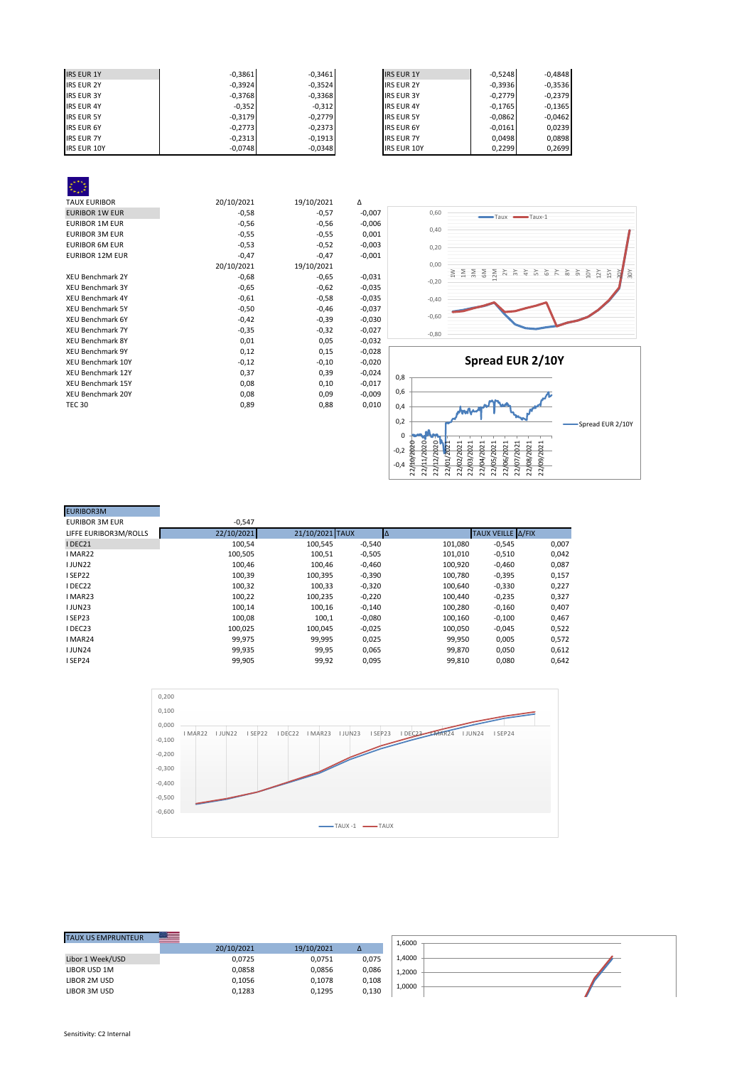| <b>IRS EUR 1Y</b>  | $-0.3861$ | $-0.3461$ | <b>IRS EUR 1Y</b>  | $-0.5248$ | $-0.4848$ |
|--------------------|-----------|-----------|--------------------|-----------|-----------|
| <b>IRS EUR 2Y</b>  | $-0,3924$ | $-0,3524$ | <b>IRS EUR 2Y</b>  | $-0,3936$ | $-0,3536$ |
| <b>IRS EUR 3Y</b>  | $-0,3768$ | $-0,3368$ | <b>IRS EUR 3Y</b>  | $-0.2779$ | $-0,2379$ |
| <b>IRS EUR 4Y</b>  | $-0,352$  | $-0,312$  | <b>IRS EUR 4Y</b>  | $-0.1765$ | $-0,1365$ |
| <b>IRS EUR 5Y</b>  | $-0.3179$ | $-0,2779$ | <b>IRS EUR 5Y</b>  | $-0,0862$ | $-0,0462$ |
| <b>IRS EUR 6Y</b>  | $-0,2773$ | $-0,2373$ | <b>IRS EUR 6Y</b>  | $-0,0161$ | 0,0239    |
| <b>IRS EUR 7Y</b>  | $-0,2313$ | $-0.1913$ | <b>IRS EUR 7Y</b>  | 0.0498    | 0,0898    |
| <b>IRS EUR 10Y</b> | $-0,0748$ | $-0,0348$ | <b>IRS EUR 10Y</b> | 0,2299    | 0,2699    |

| <b>TAUX EURIBOR</b>      | 20/10/2021 | 19/10/2021 | Δ        |
|--------------------------|------------|------------|----------|
| <b>EURIBOR 1W EUR</b>    | $-0,58$    | $-0,57$    | $-0,007$ |
| <b>EURIBOR 1M EUR</b>    | $-0,56$    | $-0,56$    | $-0,006$ |
| <b>EURIBOR 3M EUR</b>    | $-0,55$    | $-0,55$    | 0,001    |
| <b>EURIBOR 6M EUR</b>    | $-0,53$    | $-0,52$    | $-0,003$ |
| <b>EURIBOR 12M EUR</b>   | $-0,47$    | $-0,47$    | $-0,001$ |
|                          | 20/10/2021 | 19/10/2021 |          |
| <b>XEU Benchmark 2Y</b>  | $-0,68$    | $-0,65$    | $-0,031$ |
| <b>XEU Benchmark 3Y</b>  | $-0,65$    | $-0,62$    | $-0,035$ |
| <b>XEU Benchmark 4Y</b>  | $-0,61$    | $-0,58$    | $-0,035$ |
| <b>XEU Benchmark 5Y</b>  | $-0,50$    | $-0,46$    | $-0,037$ |
| <b>XEU Benchmark 6Y</b>  | $-0,42$    | $-0,39$    | $-0,030$ |
| <b>XEU Benchmark 7Y</b>  | $-0,35$    | $-0,32$    | $-0,027$ |
| <b>XEU Benchmark 8Y</b>  | 0,01       | 0,05       | $-0,032$ |
| <b>XEU Benchmark 9Y</b>  | 0,12       | 0,15       | $-0,028$ |
| <b>XEU Benchmark 10Y</b> | $-0,12$    | $-0,10$    | $-0,020$ |
| <b>XEU Benchmark 12Y</b> | 0,37       | 0,39       | $-0,024$ |
| <b>XEU Benchmark 15Y</b> | 0,08       | 0,10       | $-0,017$ |
| <b>XEU Benchmark 20Y</b> | 0,08       | 0,09       | $-0,009$ |
| <b>TEC 30</b>            | 0,89       | 0,88       | 0,010    |
|                          |            |            |          |



| <b>EURIBOR3M</b>      |            |                 |          |           |                   |       |
|-----------------------|------------|-----------------|----------|-----------|-------------------|-------|
| <b>EURIBOR 3M EUR</b> | $-0,547$   |                 |          |           |                   |       |
| LIFFE EURIBOR3M/ROLLS | 22/10/2021 | 21/10/2021 TAUX |          | $\Lambda$ | TAUX VEILLE A/FIX |       |
| IDEC21                | 100,54     | 100,545         | $-0,540$ | 101,080   | $-0,545$          | 0,007 |
| I MAR22               | 100,505    | 100,51          | $-0,505$ | 101,010   | $-0,510$          | 0,042 |
| <b>IJUN22</b>         | 100,46     | 100,46          | $-0,460$ | 100,920   | $-0,460$          | 0,087 |
| I SEP22               | 100,39     | 100,395         | $-0,390$ | 100,780   | $-0,395$          | 0,157 |
| IDEC22                | 100,32     | 100,33          | $-0,320$ | 100,640   | $-0,330$          | 0,227 |
| I MAR23               | 100,22     | 100,235         | $-0,220$ | 100,440   | $-0,235$          | 0,327 |
| <b>IJUN23</b>         | 100,14     | 100,16          | $-0,140$ | 100,280   | $-0,160$          | 0,407 |
| I SEP23               | 100.08     | 100,1           | $-0,080$ | 100,160   | $-0,100$          | 0,467 |
| IDEC23                | 100,025    | 100,045         | $-0,025$ | 100,050   | $-0,045$          | 0,522 |
| I MAR24               | 99,975     | 99,995          | 0,025    | 99,950    | 0,005             | 0,572 |
| <b>IJUN24</b>         | 99,935     | 99,95           | 0,065    | 99,870    | 0,050             | 0,612 |
| I SEP24               | 99,905     | 99,92           | 0,095    | 99,810    | 0,080             | 0,642 |